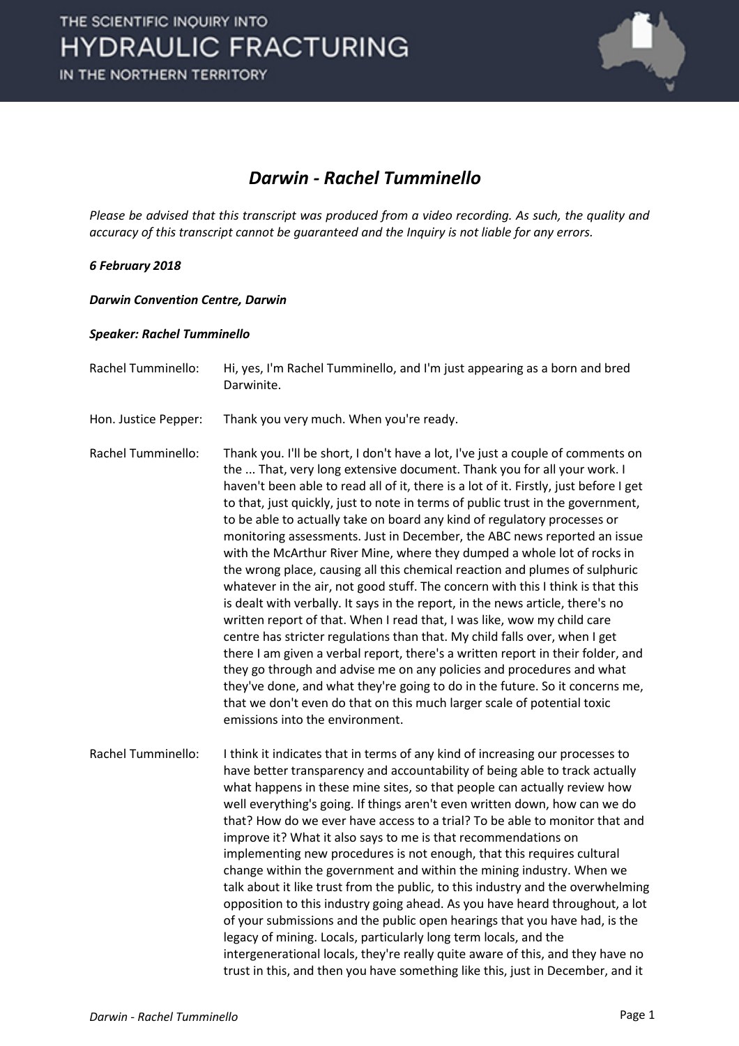

### *Darwin - Rachel Tumminello*

*Please be advised that this transcript was produced from a video recording. As such, the quality and accuracy of this transcript cannot be guaranteed and the Inquiry is not liable for any errors.*

#### *6 February 2018*

*Darwin Convention Centre, Darwin* 

#### *Speaker: Rachel Tumminello*

Rachel Tumminello: Hi, yes, I'm Rachel Tumminello, and I'm just appearing as a born and bred Darwinite. Hon. Justice Pepper: Thank you very much. When you're ready. Rachel Tumminello: Thank you. I'll be short, I don't have a lot, I've just a couple of comments on the ... That, very long extensive document. Thank you for all your work. I haven't been able to read all of it, there is a lot of it. Firstly, just before I get to that, just quickly, just to note in terms of public trust in the government, to be able to actually take on board any kind of regulatory processes or monitoring assessments. Just in December, the ABC news reported an issue with the McArthur River Mine, where they dumped a whole lot of rocks in the wrong place, causing all this chemical reaction and plumes of sulphuric whatever in the air, not good stuff. The concern with this I think is that this is dealt with verbally. It says in the report, in the news article, there's no written report of that. When I read that, I was like, wow my child care centre has stricter regulations than that. My child falls over, when I get there I am given a verbal report, there's a written report in their folder, and they go through and advise me on any policies and procedures and what they've done, and what they're going to do in the future. So it concerns me, that we don't even do that on this much larger scale of potential toxic emissions into the environment. Rachel Tumminello: I think it indicates that in terms of any kind of increasing our processes to have better transparency and accountability of being able to track actually what happens in these mine sites, so that people can actually review how well everything's going. If things aren't even written down, how can we do that? How do we ever have access to a trial? To be able to monitor that and improve it? What it also says to me is that recommendations on implementing new procedures is not enough, that this requires cultural change within the government and within the mining industry. When we talk about it like trust from the public, to this industry and the overwhelming opposition to this industry going ahead. As you have heard throughout, a lot of your submissions and the public open hearings that you have had, is the legacy of mining. Locals, particularly long term locals, and the intergenerational locals, they're really quite aware of this, and they have no trust in this, and then you have something like this, just in December, and it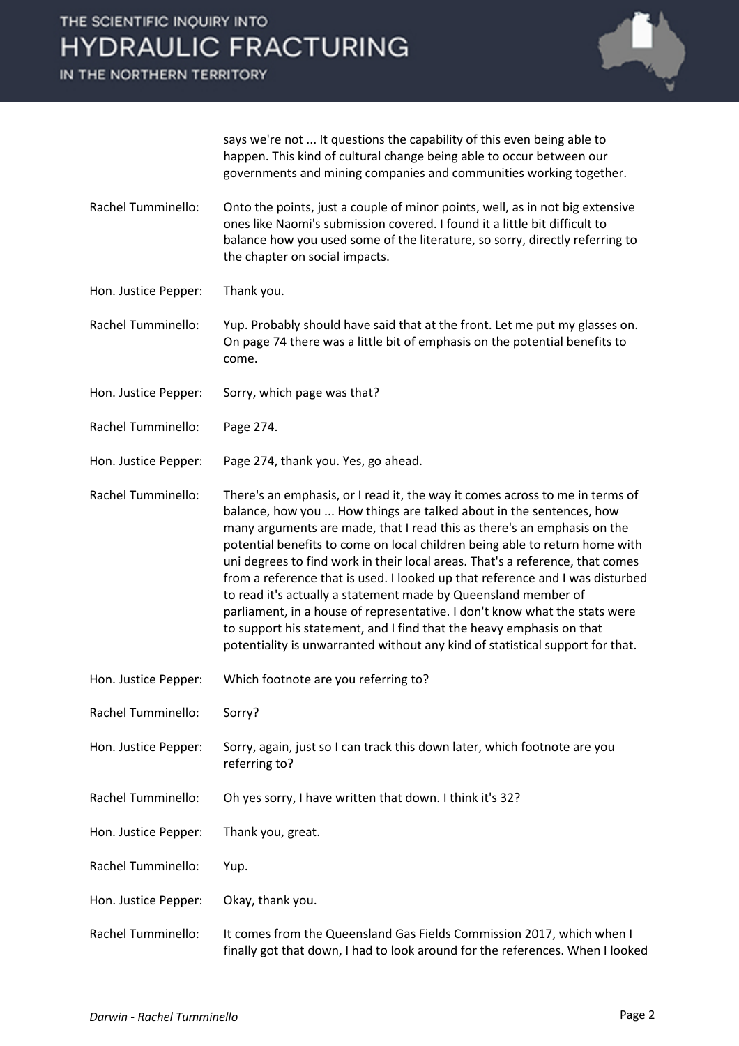IN THE NORTHERN TERRITORY



says we're not ... It questions the capability of this even being able to happen. This kind of cultural change being able to occur between our governments and mining companies and communities working together.

- Rachel Tumminello: Onto the points, just a couple of minor points, well, as in not big extensive ones like Naomi's submission covered. I found it a little bit difficult to balance how you used some of the literature, so sorry, directly referring to the chapter on social impacts.
- Hon. Justice Pepper: Thank you.

Rachel Tumminello: Yup. Probably should have said that at the front. Let me put my glasses on. On page 74 there was a little bit of emphasis on the potential benefits to come.

- Hon. Justice Pepper: Sorry, which page was that?
- Rachel Tumminello: Page 274.

Hon. Justice Pepper: Page 274, thank you. Yes, go ahead.

- Rachel Tumminello: There's an emphasis, or I read it, the way it comes across to me in terms of balance, how you ... How things are talked about in the sentences, how many arguments are made, that I read this as there's an emphasis on the potential benefits to come on local children being able to return home with uni degrees to find work in their local areas. That's a reference, that comes from a reference that is used. I looked up that reference and I was disturbed to read it's actually a statement made by Queensland member of parliament, in a house of representative. I don't know what the stats were to support his statement, and I find that the heavy emphasis on that potentiality is unwarranted without any kind of statistical support for that.
- Hon. Justice Pepper: Which footnote are you referring to?
- Rachel Tumminello: Sorry?

Hon. Justice Pepper: Sorry, again, just so I can track this down later, which footnote are you referring to?

- Rachel Tumminello: Oh yes sorry, I have written that down. I think it's 32?
- Hon. Justice Pepper: Thank you, great.
- Rachel Tumminello: Yup.
- Hon. Justice Pepper: Okay, thank you.
- Rachel Tumminello: It comes from the Queensland Gas Fields Commission 2017, which when I finally got that down, I had to look around for the references. When I looked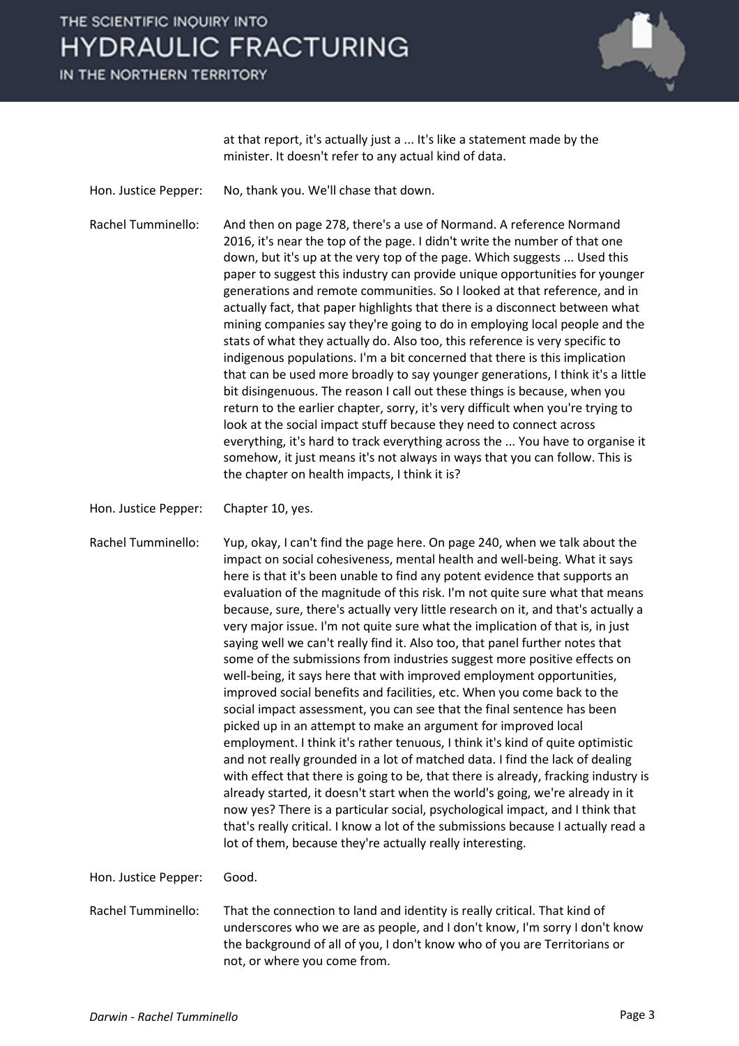IN THE NORTHERN TERRITORY



at that report, it's actually just a ... It's like a statement made by the minister. It doesn't refer to any actual kind of data.

Hon. Justice Pepper: No, thank you. We'll chase that down.

Rachel Tumminello: And then on page 278, there's a use of Normand. A reference Normand 2016, it's near the top of the page. I didn't write the number of that one down, but it's up at the very top of the page. Which suggests ... Used this paper to suggest this industry can provide unique opportunities for younger generations and remote communities. So I looked at that reference, and in actually fact, that paper highlights that there is a disconnect between what mining companies say they're going to do in employing local people and the stats of what they actually do. Also too, this reference is very specific to indigenous populations. I'm a bit concerned that there is this implication that can be used more broadly to say younger generations, I think it's a little bit disingenuous. The reason I call out these things is because, when you return to the earlier chapter, sorry, it's very difficult when you're trying to look at the social impact stuff because they need to connect across everything, it's hard to track everything across the ... You have to organise it somehow, it just means it's not always in ways that you can follow. This is the chapter on health impacts, I think it is?

Hon. Justice Pepper: Chapter 10, yes.

Rachel Tumminello: Yup, okay, I can't find the page here. On page 240, when we talk about the impact on social cohesiveness, mental health and well-being. What it says here is that it's been unable to find any potent evidence that supports an evaluation of the magnitude of this risk. I'm not quite sure what that means because, sure, there's actually very little research on it, and that's actually a very major issue. I'm not quite sure what the implication of that is, in just saying well we can't really find it. Also too, that panel further notes that some of the submissions from industries suggest more positive effects on well-being, it says here that with improved employment opportunities, improved social benefits and facilities, etc. When you come back to the social impact assessment, you can see that the final sentence has been picked up in an attempt to make an argument for improved local employment. I think it's rather tenuous, I think it's kind of quite optimistic and not really grounded in a lot of matched data. I find the lack of dealing with effect that there is going to be, that there is already, fracking industry is already started, it doesn't start when the world's going, we're already in it now yes? There is a particular social, psychological impact, and I think that that's really critical. I know a lot of the submissions because I actually read a lot of them, because they're actually really interesting.

Hon. Justice Pepper: Good.

Rachel Tumminello: That the connection to land and identity is really critical. That kind of underscores who we are as people, and I don't know, I'm sorry I don't know the background of all of you, I don't know who of you are Territorians or not, or where you come from.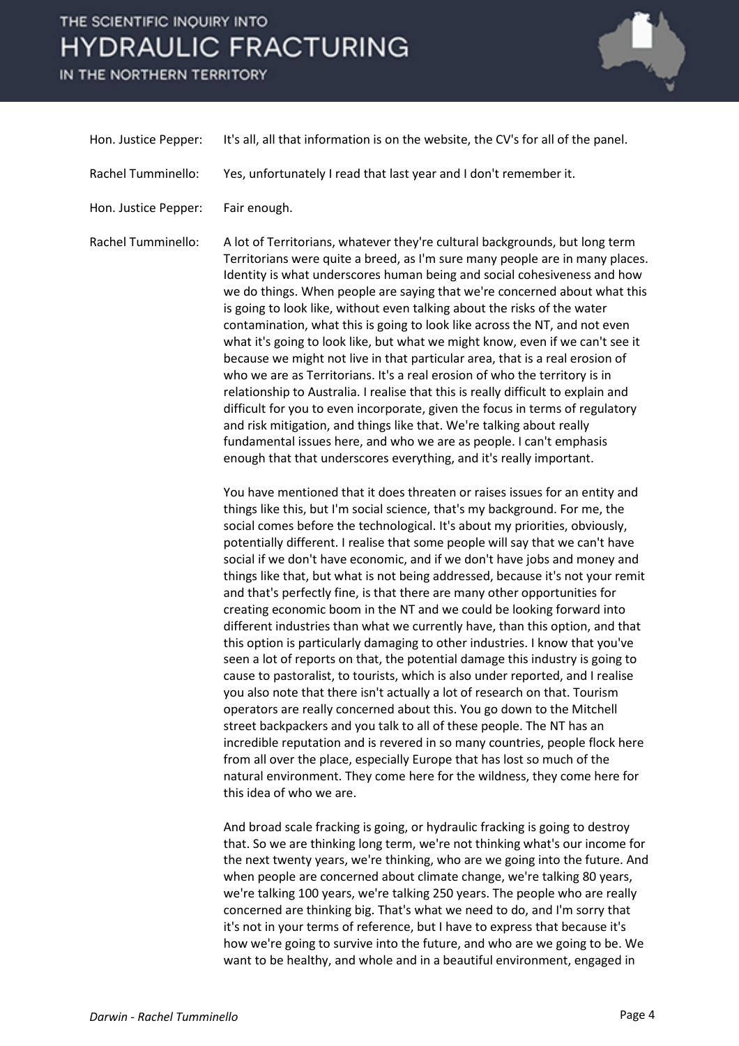IN THE NORTHERN TERRITORY



| Hon. Justice Pepper:      | It's all, all that information is on the website, the CV's for all of the panel.                                                                                                                                                                                                                                                                                                                                                                                                                                                                                                                                                                                                                                                                                                                                                                                                                                                                                                                                                                                                                                                                                                                          |
|---------------------------|-----------------------------------------------------------------------------------------------------------------------------------------------------------------------------------------------------------------------------------------------------------------------------------------------------------------------------------------------------------------------------------------------------------------------------------------------------------------------------------------------------------------------------------------------------------------------------------------------------------------------------------------------------------------------------------------------------------------------------------------------------------------------------------------------------------------------------------------------------------------------------------------------------------------------------------------------------------------------------------------------------------------------------------------------------------------------------------------------------------------------------------------------------------------------------------------------------------|
| <b>Rachel Tumminello:</b> | Yes, unfortunately I read that last year and I don't remember it.                                                                                                                                                                                                                                                                                                                                                                                                                                                                                                                                                                                                                                                                                                                                                                                                                                                                                                                                                                                                                                                                                                                                         |
| Hon. Justice Pepper:      | Fair enough.                                                                                                                                                                                                                                                                                                                                                                                                                                                                                                                                                                                                                                                                                                                                                                                                                                                                                                                                                                                                                                                                                                                                                                                              |
| <b>Rachel Tumminello:</b> | A lot of Territorians, whatever they're cultural backgrounds, but long term<br>Territorians were quite a breed, as I'm sure many people are in many places.<br>Identity is what underscores human being and social cohesiveness and how<br>we do things. When people are saying that we're concerned about what this<br>is going to look like, without even talking about the risks of the water<br>contamination, what this is going to look like across the NT, and not even<br>what it's going to look like, but what we might know, even if we can't see it<br>because we might not live in that particular area, that is a real erosion of<br>who we are as Territorians. It's a real erosion of who the territory is in<br>relationship to Australia. I realise that this is really difficult to explain and<br>difficult for you to even incorporate, given the focus in terms of regulatory<br>and risk mitigation, and things like that. We're talking about really<br>fundamental issues here, and who we are as people. I can't emphasis<br>enough that that underscores everything, and it's really important.<br>You have mentioned that it does threaten or raises issues for an entity and |
|                           | things like this, but I'm social science, that's my background. For me, the<br>social comes before the technological. It's about my priorities, obviously,                                                                                                                                                                                                                                                                                                                                                                                                                                                                                                                                                                                                                                                                                                                                                                                                                                                                                                                                                                                                                                                |

social comes before the technological. It's about my priorities, obviously, potentially different. I realise that some people will say that we can't have social if we don't have economic, and if we don't have jobs and money and things like that, but what is not being addressed, because it's not your remit and that's perfectly fine, is that there are many other opportunities for creating economic boom in the NT and we could be looking forward into different industries than what we currently have, than this option, and that this option is particularly damaging to other industries. I know that you've seen a lot of reports on that, the potential damage this industry is going to cause to pastoralist, to tourists, which is also under reported, and I realise you also note that there isn't actually a lot of research on that. Tourism operators are really concerned about this. You go down to the Mitchell street backpackers and you talk to all of these people. The NT has an incredible reputation and is revered in so many countries, people flock here from all over the place, especially Europe that has lost so much of the natural environment. They come here for the wildness, they come here for this idea of who we are.

And broad scale fracking is going, or hydraulic fracking is going to destroy that. So we are thinking long term, we're not thinking what's our income for the next twenty years, we're thinking, who are we going into the future. And when people are concerned about climate change, we're talking 80 years, we're talking 100 years, we're talking 250 years. The people who are really concerned are thinking big. That's what we need to do, and I'm sorry that it's not in your terms of reference, but I have to express that because it's how we're going to survive into the future, and who are we going to be. We want to be healthy, and whole and in a beautiful environment, engaged in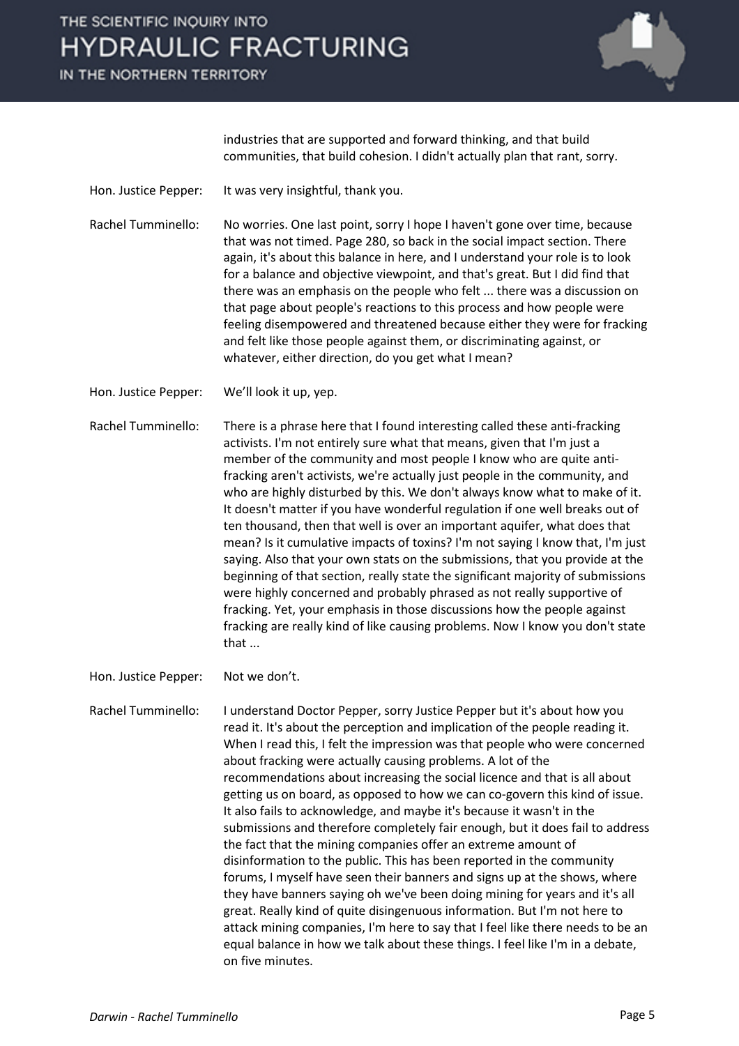IN THE NORTHERN TERRITORY



industries that are supported and forward thinking, and that build communities, that build cohesion. I didn't actually plan that rant, sorry.

- Hon. Justice Pepper: It was very insightful, thank you.
- Rachel Tumminello: No worries. One last point, sorry I hope I haven't gone over time, because that was not timed. Page 280, so back in the social impact section. There again, it's about this balance in here, and I understand your role is to look for a balance and objective viewpoint, and that's great. But I did find that there was an emphasis on the people who felt ... there was a discussion on that page about people's reactions to this process and how people were feeling disempowered and threatened because either they were for fracking and felt like those people against them, or discriminating against, or whatever, either direction, do you get what I mean?
- Hon. Justice Pepper: We'll look it up, yep.

Rachel Tumminello: There is a phrase here that I found interesting called these anti-fracking activists. I'm not entirely sure what that means, given that I'm just a member of the community and most people I know who are quite antifracking aren't activists, we're actually just people in the community, and who are highly disturbed by this. We don't always know what to make of it. It doesn't matter if you have wonderful regulation if one well breaks out of ten thousand, then that well is over an important aquifer, what does that mean? Is it cumulative impacts of toxins? I'm not saying I know that, I'm just saying. Also that your own stats on the submissions, that you provide at the beginning of that section, really state the significant majority of submissions were highly concerned and probably phrased as not really supportive of fracking. Yet, your emphasis in those discussions how the people against fracking are really kind of like causing problems. Now I know you don't state that ...

Hon. Justice Pepper: Not we don't.

Rachel Tumminello: I understand Doctor Pepper, sorry Justice Pepper but it's about how you read it. It's about the perception and implication of the people reading it. When I read this, I felt the impression was that people who were concerned about fracking were actually causing problems. A lot of the recommendations about increasing the social licence and that is all about getting us on board, as opposed to how we can co-govern this kind of issue. It also fails to acknowledge, and maybe it's because it wasn't in the submissions and therefore completely fair enough, but it does fail to address the fact that the mining companies offer an extreme amount of disinformation to the public. This has been reported in the community forums, I myself have seen their banners and signs up at the shows, where they have banners saying oh we've been doing mining for years and it's all great. Really kind of quite disingenuous information. But I'm not here to attack mining companies, I'm here to say that I feel like there needs to be an equal balance in how we talk about these things. I feel like I'm in a debate, on five minutes.